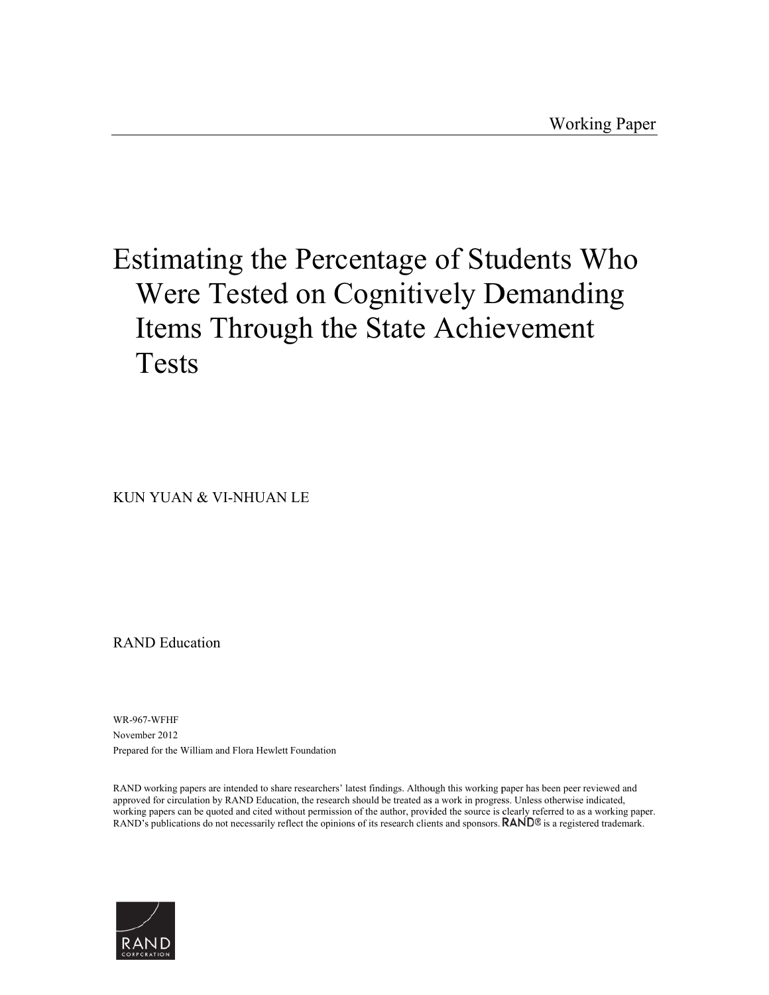# Estimating the Percentage of Students Who Were Tested on Cognitively Demanding Items Through the State Achievement **Tests**

KUN YUAN & VI-NHUAN LE

**RAND Education** 

WR-967-WFHF November 2012 Prepared for the William and Flora Hewlett Foundation

RAND working papers are intended to share researchers' latest findings. Although this working paper has been peer reviewed and approved for circulation by RAND Education, the research should be treated as a work in progress. Unless otherwise indicated, working papers can be quoted and cited without permission of the author, provided the source is clearly referred to as a working paper. RAND's publications do not necessarily reflect the opinions of its research clients and sponsors. RAND® is a registered trademark.

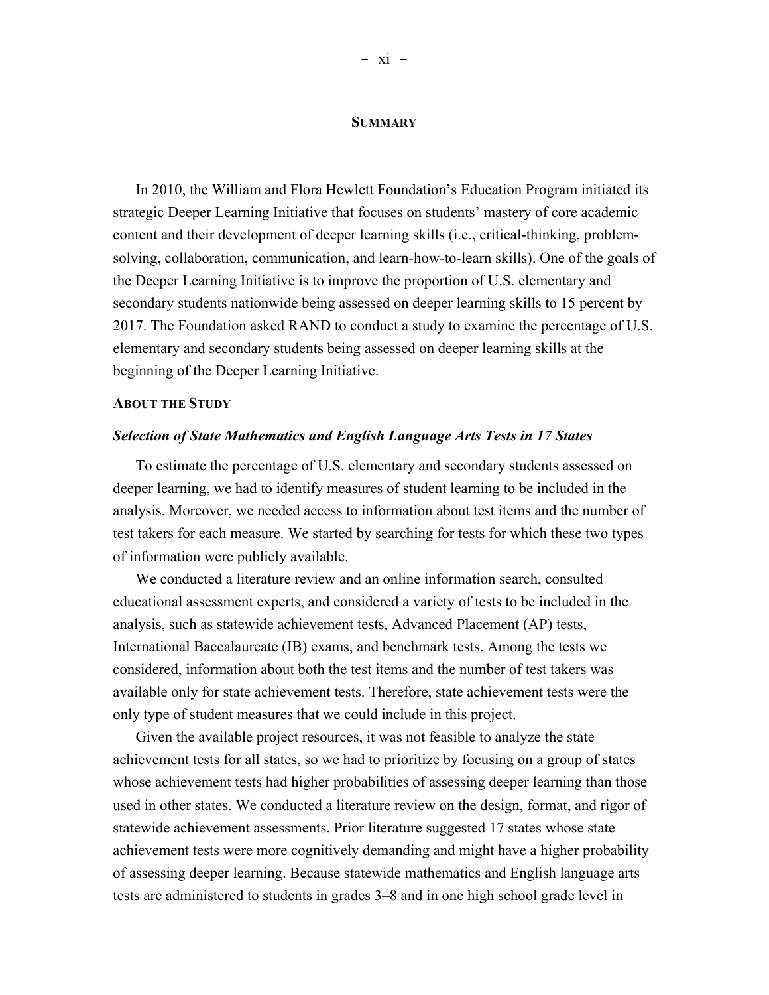#### **SUMMARY**

In 2010, the William and Flora Hewlett Foundation's Education Program initiated its strategic Deeper Learning Initiative that focuses on students' mastery of core academic content and their development of deeper learning skills (i.e., critical-thinking, problemsolving, collaboration, communication, and learn-how-to-learn skills). One of the goals of the Deeper Learning Initiative is to improve the proportion of U.S. elementary and secondary students nationwide being assessed on deeper learning skills to 15 percent by 2017. The Foundation asked RAND to conduct a study to examine the percentage of U.S. elementary and secondary students being assessed on deeper learning skills at the beginning of the Deeper Learning Initiative.

#### **ABOUT THE STUDY**

#### *Selection of State Mathematics and English Language Arts Tests in 17 States*

To estimate the percentage of U.S. elementary and secondary students assessed on deeper learning, we had to identify measures of student learning to be included in the analysis. Moreover, we needed access to information about test items and the number of test takers for each measure. We started by searching for tests for which these two types of information were publicly available.

We conducted a literature review and an online information search, consulted educational assessment experts, and considered a variety of tests to be included in the analysis, such as statewide achievement tests, Advanced Placement (AP) tests, International Baccalaureate (IB) exams, and benchmark tests. Among the tests we considered, information about both the test items and the number of test takers was available only for state achievement tests. Therefore, state achievement tests were the only type of student measures that we could include in this project.

Given the available project resources, it was not feasible to analyze the state achievement tests for all states, so we had to prioritize by focusing on a group of states whose achievement tests had higher probabilities of assessing deeper learning than those used in other states. We conducted a literature review on the design, format, and rigor of statewide achievement assessments. Prior literature suggested 17 states whose state achievement tests were more cognitively demanding and might have a higher probability of assessing deeper learning. Because statewide mathematics and English language arts tests are administered to students in grades 3–8 and in one high school grade level in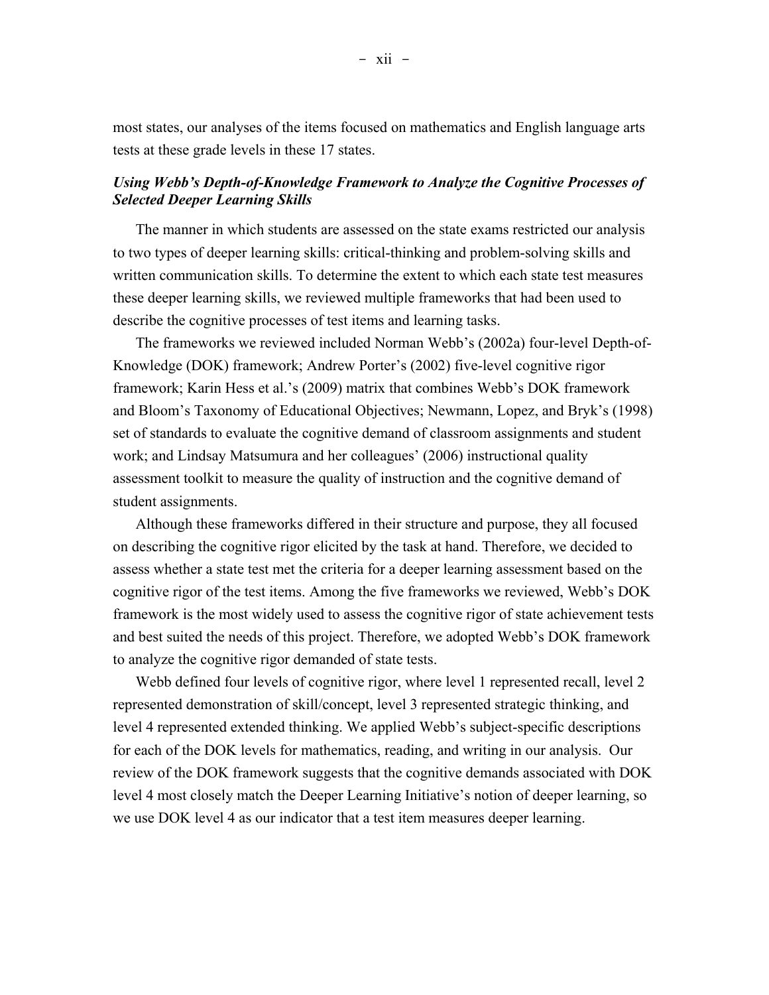most states, our analyses of the items focused on mathematics and English language arts tests at these grade levels in these 17 states.

## *Using Webb's Depth-of-Knowledge Framework to Analyze the Cognitive Processes of Selected Deeper Learning Skills*

The manner in which students are assessed on the state exams restricted our analysis to two types of deeper learning skills: critical-thinking and problem-solving skills and written communication skills. To determine the extent to which each state test measures these deeper learning skills, we reviewed multiple frameworks that had been used to describe the cognitive processes of test items and learning tasks.

The frameworks we reviewed included Norman Webb's (2002a) four-level Depth-of-Knowledge (DOK) framework; Andrew Porter's (2002) five-level cognitive rigor framework; Karin Hess et al.'s (2009) matrix that combines Webb's DOK framework and Bloom's Taxonomy of Educational Objectives; Newmann, Lopez, and Bryk's (1998) set of standards to evaluate the cognitive demand of classroom assignments and student work; and Lindsay Matsumura and her colleagues' (2006) instructional quality assessment toolkit to measure the quality of instruction and the cognitive demand of student assignments.

Although these frameworks differed in their structure and purpose, they all focused on describing the cognitive rigor elicited by the task at hand. Therefore, we decided to assess whether a state test met the criteria for a deeper learning assessment based on the cognitive rigor of the test items. Among the five frameworks we reviewed, Webb's DOK framework is the most widely used to assess the cognitive rigor of state achievement tests and best suited the needs of this project. Therefore, we adopted Webb's DOK framework to analyze the cognitive rigor demanded of state tests.

Webb defined four levels of cognitive rigor, where level 1 represented recall, level 2 represented demonstration of skill/concept, level 3 represented strategic thinking, and level 4 represented extended thinking. We applied Webb's subject-specific descriptions for each of the DOK levels for mathematics, reading, and writing in our analysis. Our review of the DOK framework suggests that the cognitive demands associated with DOK level 4 most closely match the Deeper Learning Initiative's notion of deeper learning, so we use DOK level 4 as our indicator that a test item measures deeper learning.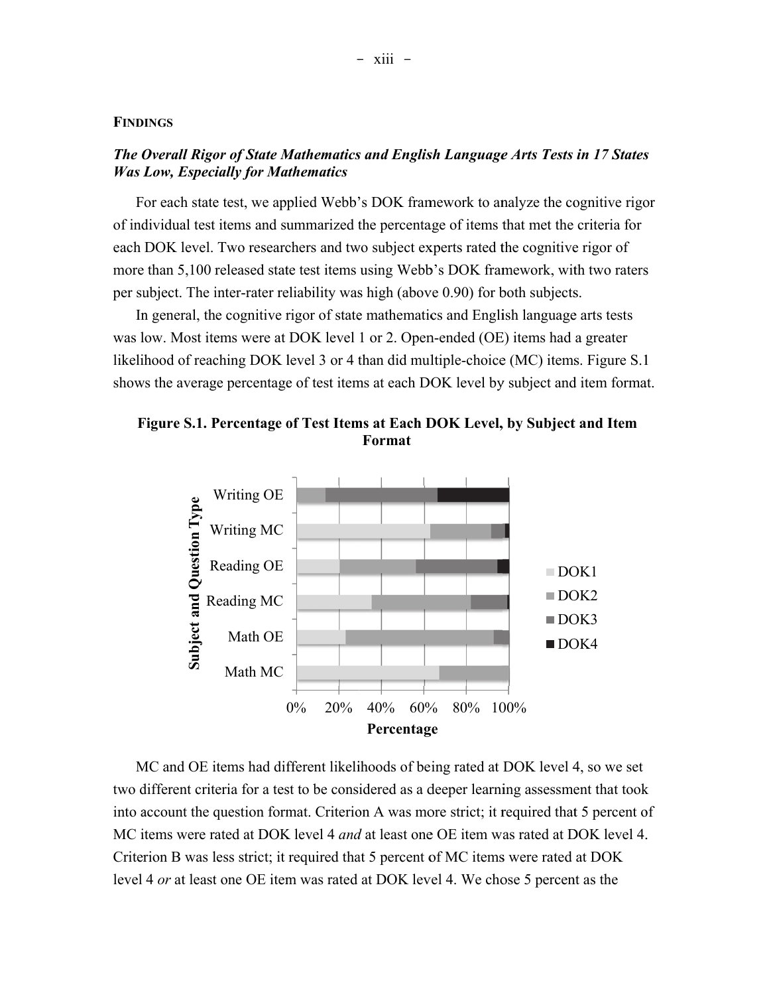#### **FINDINGS**

## The Overall Rigor of State Mathematics and English Language Arts Tests in 17 States **Was Low, Especially for Mathematics**

For each state test, we applied Webb's DOK framework to analyze the cognitive rigor of individual test items and summarized the percentage of items that met the criteria for each DOK level. Two researchers and two subject experts rated the cognitive rigor of more than 5,100 released state test items using Webb's DOK framework, with two raters per subject. The inter-rater reliability was high (above 0.90) for both subjects.

In general, the cognitive rigor of state mathematics and English language arts tests was low. Most items were at DOK level 1 or 2. Open-ended (OE) items had a greater likelihood of reaching DOK level 3 or 4 than did multiple-choice (MC) items. Figure S.1 shows the average percentage of test items at each DOK level by subject and item format.





MC and OE items had different likelihoods of being rated at DOK level 4, so we set two different criteria for a test to be considered as a deeper learning assessment that took into account the question format. Criterion A was more strict; it required that 5 percent of MC items were rated at DOK level 4 and at least one OE item was rated at DOK level 4. Criterion B was less strict; it required that 5 percent of MC items were rated at DOK level 4 or at least one OE item was rated at DOK level 4. We chose 5 percent as the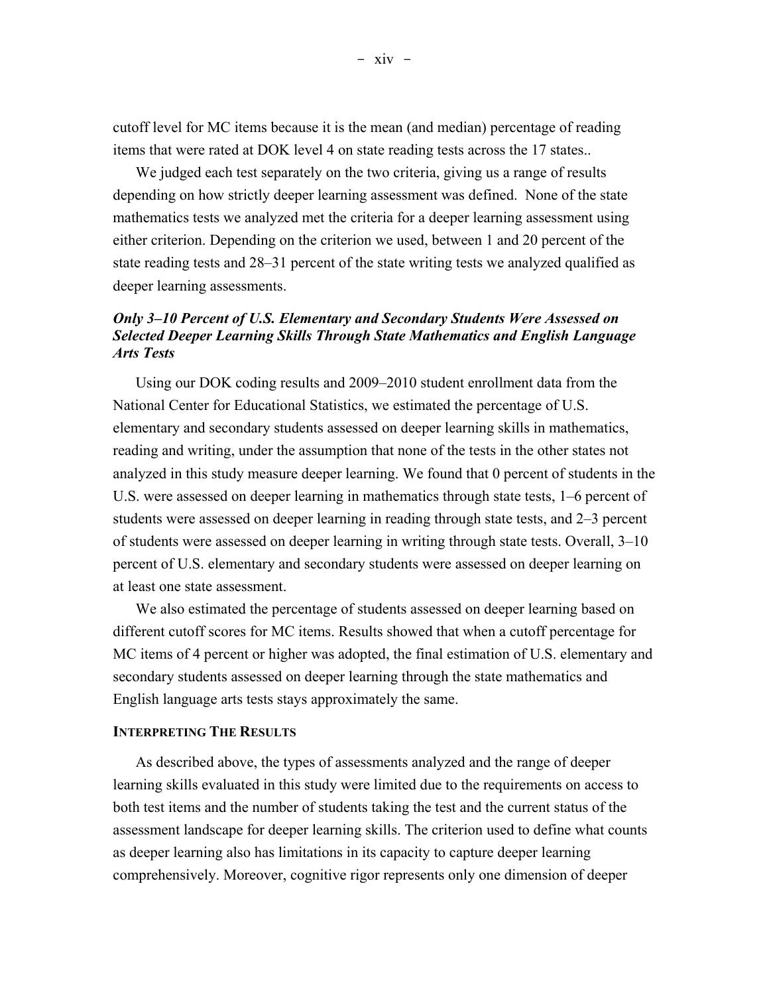cutoff level for MC items because it is the mean (and median) percentage of reading items that were rated at DOK level 4 on state reading tests across the 17 states..

We judged each test separately on the two criteria, giving us a range of results depending on how strictly deeper learning assessment was defined. None of the state mathematics tests we analyzed met the criteria for a deeper learning assessment using either criterion. Depending on the criterion we used, between 1 and 20 percent of the state reading tests and 28–31 percent of the state writing tests we analyzed qualified as deeper learning assessments.

# *Only 3–10 Percent of U.S. Elementary and Secondary Students Were Assessed on Selected Deeper Learning Skills Through State Mathematics and English Language Arts Tests*

Using our DOK coding results and 2009–2010 student enrollment data from the National Center for Educational Statistics, we estimated the percentage of U.S. elementary and secondary students assessed on deeper learning skills in mathematics, reading and writing, under the assumption that none of the tests in the other states not analyzed in this study measure deeper learning. We found that 0 percent of students in the U.S. were assessed on deeper learning in mathematics through state tests, 1–6 percent of students were assessed on deeper learning in reading through state tests, and 2–3 percent of students were assessed on deeper learning in writing through state tests. Overall, 3–10 percent of U.S. elementary and secondary students were assessed on deeper learning on at least one state assessment.

We also estimated the percentage of students assessed on deeper learning based on different cutoff scores for MC items. Results showed that when a cutoff percentage for MC items of 4 percent or higher was adopted, the final estimation of U.S. elementary and secondary students assessed on deeper learning through the state mathematics and English language arts tests stays approximately the same.

## **INTERPRETING THE RESULTS**

As described above, the types of assessments analyzed and the range of deeper learning skills evaluated in this study were limited due to the requirements on access to both test items and the number of students taking the test and the current status of the assessment landscape for deeper learning skills. The criterion used to define what counts as deeper learning also has limitations in its capacity to capture deeper learning comprehensively. Moreover, cognitive rigor represents only one dimension of deeper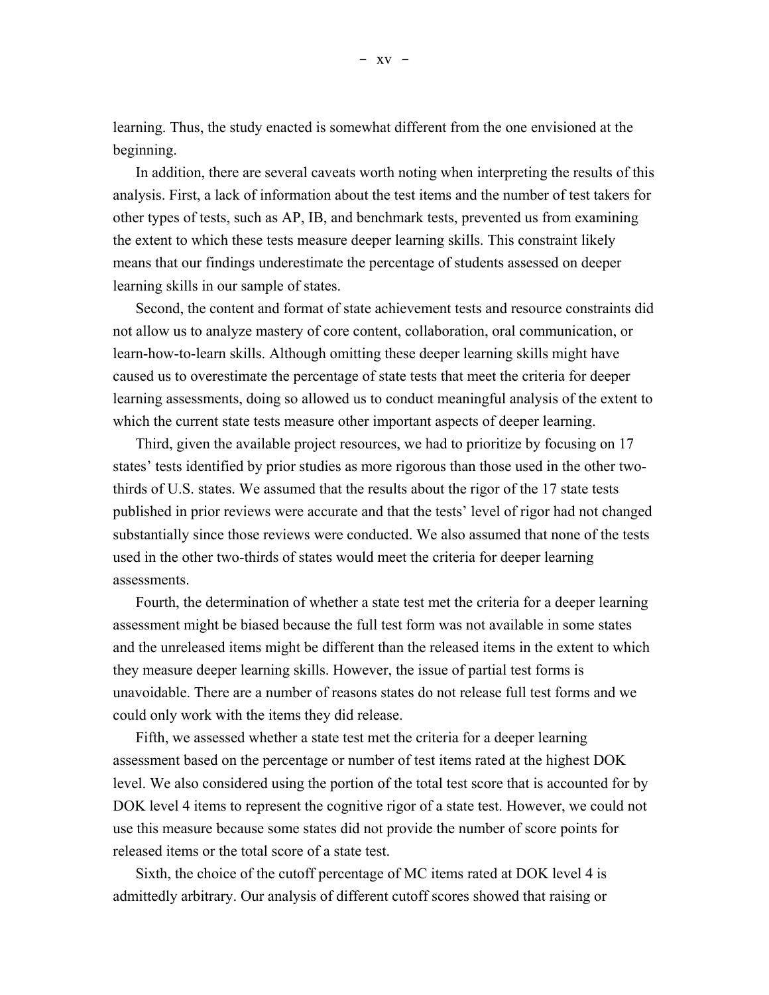learning. Thus, the study enacted is somewhat different from the one envisioned at the beginning.

In addition, there are several caveats worth noting when interpreting the results of this analysis. First, a lack of information about the test items and the number of test takers for other types of tests, such as AP, IB, and benchmark tests, prevented us from examining the extent to which these tests measure deeper learning skills. This constraint likely means that our findings underestimate the percentage of students assessed on deeper learning skills in our sample of states.

Second, the content and format of state achievement tests and resource constraints did not allow us to analyze mastery of core content, collaboration, oral communication, or learn-how-to-learn skills. Although omitting these deeper learning skills might have caused us to overestimate the percentage of state tests that meet the criteria for deeper learning assessments, doing so allowed us to conduct meaningful analysis of the extent to which the current state tests measure other important aspects of deeper learning.

Third, given the available project resources, we had to prioritize by focusing on 17 states' tests identified by prior studies as more rigorous than those used in the other twothirds of U.S. states. We assumed that the results about the rigor of the 17 state tests published in prior reviews were accurate and that the tests' level of rigor had not changed substantially since those reviews were conducted. We also assumed that none of the tests used in the other two-thirds of states would meet the criteria for deeper learning assessments.

Fourth, the determination of whether a state test met the criteria for a deeper learning assessment might be biased because the full test form was not available in some states and the unreleased items might be different than the released items in the extent to which they measure deeper learning skills. However, the issue of partial test forms is unavoidable. There are a number of reasons states do not release full test forms and we could only work with the items they did release.

Fifth, we assessed whether a state test met the criteria for a deeper learning assessment based on the percentage or number of test items rated at the highest DOK level. We also considered using the portion of the total test score that is accounted for by DOK level 4 items to represent the cognitive rigor of a state test. However, we could not use this measure because some states did not provide the number of score points for released items or the total score of a state test.

Sixth, the choice of the cutoff percentage of MC items rated at DOK level 4 is admittedly arbitrary. Our analysis of different cutoff scores showed that raising or